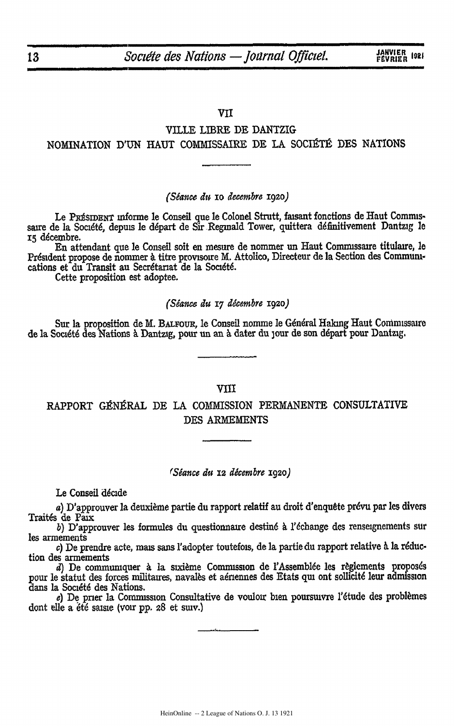### VII

# VILLE LIBRE **DE** DANTZIG NOMINATION D'UN HAUT COMMISSAIRE DE LA SOCIÉTÉ DES NATIONS

### *(Stance i& io decemkbr* ig2o)

Le PRÉSIDENT Informe le Conseil que le Colonel Strutt, faisant fonctions de Haut Commissaire de la Société, depuis le départ de Sir Reginald Tower, quittera définitivement Dantzig le **<sup>15</sup>**dcembre.

En attendant **que** le Conseil soft en mesure de nommer un Haut Comnussaire titulmre, le Président propose de nommer à titre provisoire M. Attolico, Directeur de la Section des Communications et **du** Transit au Secrdtariat de **la** Soci6t6.

Cette proposition est adoptee.

### *(Stance iu 17 tdcesmbre* **1920)**

Sur la proposition de M. BALFOUR, le Conseil nomme le Général Haking Haut Commissaire de la Société des Nations à Dantzig, pour un an à dater du jour de son départ pour Dantzig.

### VIII

RAPPORT GÉNÉRAL DE LA COMMISSION PERMANENTE CONSULTATIVE **DES** ARMEMENTS

### *(Stance do X2 dicembre* **1920)**

Le Conseil décide

a) D'approuver la deuxième partie du rapport relatif au droit d'enquête prévu par les divers Traités de Paix

b) D'approuver les formules du questionnaire destiné à l'échange des renseignements sur les armements

*c)* De prendre acte, mais sans Yadopter toutefois, de **la** partie du rapport relative **&** la r6duction des armements

*d*) De communiquer à la sixième Commission de l'Assemblée les règlements proposés pour le statut des forces militaires, navales et aériennes des Etats qui ont sollicité leur admission dans la Société des Nations.

e) De prier la Commission Consultative de vouloir bien poursuivre l'étude des problèmes dont elle a été saisie (voir pp. 28 et suiv.)